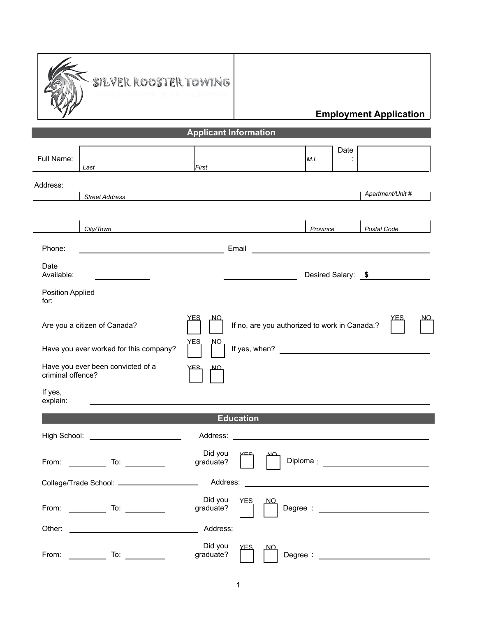

## **Employment Application**

| <b>Applicant Information</b>                           |                                                                                                                                                                                                                                                                                                             |                      |                  |                                                                                                                                                                                                                                |          |      |                    |  |
|--------------------------------------------------------|-------------------------------------------------------------------------------------------------------------------------------------------------------------------------------------------------------------------------------------------------------------------------------------------------------------|----------------------|------------------|--------------------------------------------------------------------------------------------------------------------------------------------------------------------------------------------------------------------------------|----------|------|--------------------|--|
| Full Name:                                             | Last                                                                                                                                                                                                                                                                                                        | First                |                  |                                                                                                                                                                                                                                | M.I.     | Date |                    |  |
| Address:                                               |                                                                                                                                                                                                                                                                                                             |                      |                  |                                                                                                                                                                                                                                |          |      | Apartment/Unit #   |  |
|                                                        | <b>Street Address</b>                                                                                                                                                                                                                                                                                       |                      |                  |                                                                                                                                                                                                                                |          |      |                    |  |
|                                                        | City/Town                                                                                                                                                                                                                                                                                                   |                      |                  |                                                                                                                                                                                                                                | Province |      | Postal Code        |  |
| Phone:                                                 | <u> 1989 - Johann Barn, mars ann an t-Amhair an t-Amhair an t-Amhair an t-Amhair an t-Amhair an t-Amhair an t-Amh</u>                                                                                                                                                                                       |                      |                  |                                                                                                                                                                                                                                |          |      |                    |  |
| Date<br>Available:                                     | the control of the control of the                                                                                                                                                                                                                                                                           |                      |                  | <u> 1989 - Johann Barbara, martin a</u>                                                                                                                                                                                        |          |      | Desired Salary: \$ |  |
| Position Applied<br>for:                               |                                                                                                                                                                                                                                                                                                             |                      |                  |                                                                                                                                                                                                                                |          |      |                    |  |
|                                                        | Are you a citizen of Canada?                                                                                                                                                                                                                                                                                | YES<br><u>NО</u>     |                  | If no, are you authorized to work in Canada.?                                                                                                                                                                                  |          |      |                    |  |
|                                                        | <u>YFS</u><br><u>NO</u><br>Have you ever worked for this company?                                                                                                                                                                                                                                           |                      |                  |                                                                                                                                                                                                                                |          |      |                    |  |
| Have you ever been convicted of a<br>criminal offence? |                                                                                                                                                                                                                                                                                                             |                      |                  |                                                                                                                                                                                                                                |          |      |                    |  |
| If yes,<br>explain:                                    |                                                                                                                                                                                                                                                                                                             |                      |                  |                                                                                                                                                                                                                                |          |      |                    |  |
|                                                        |                                                                                                                                                                                                                                                                                                             |                      | <b>Education</b> |                                                                                                                                                                                                                                |          |      |                    |  |
|                                                        | High School: <u>___________________________</u>                                                                                                                                                                                                                                                             |                      |                  | Address: Analysis and the contract of the contract of the contract of the contract of the contract of the contract of the contract of the contract of the contract of the contract of the contract of the contract of the cont |          |      |                    |  |
| From:                                                  | To:<br>$\begin{array}{c} \begin{array}{c} \begin{array}{c} \begin{array}{c} \end{array} \\ \begin{array}{c} \end{array} \end{array} \end{array} \end{array} \end{array} \end{array} \begin{array}{c} \begin{array}{c} \begin{array}{c} \end{array} \\ \begin{array}{c} \end{array} \end{array} \end{array}$ | Did you<br>graduate? |                  |                                                                                                                                                                                                                                |          |      |                    |  |
|                                                        | College/Trade School: ________________                                                                                                                                                                                                                                                                      | Address:             |                  |                                                                                                                                                                                                                                |          |      |                    |  |
|                                                        |                                                                                                                                                                                                                                                                                                             | Did you<br>graduate? | YES              | NQ                                                                                                                                                                                                                             |          |      |                    |  |
| Other:                                                 |                                                                                                                                                                                                                                                                                                             | Address:             |                  |                                                                                                                                                                                                                                |          |      |                    |  |
| From:                                                  | To:                                                                                                                                                                                                                                                                                                         | Did you<br>graduate? | <u>YFS</u>       | Degree:                                                                                                                                                                                                                        |          |      |                    |  |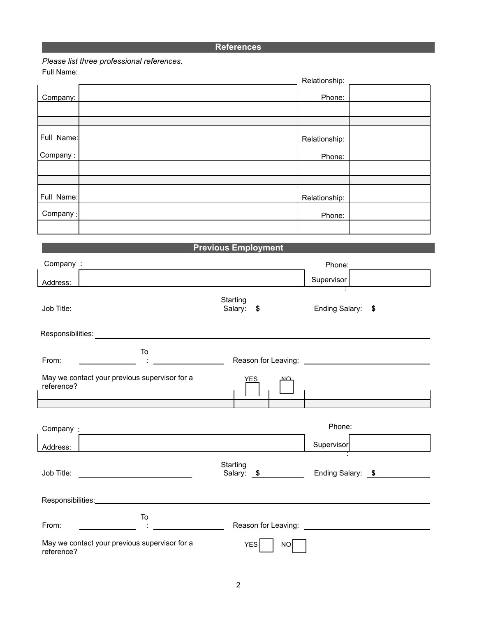## **References**

*Please list three professional references.*

Full Name:

| .                          | Relationship:              |
|----------------------------|----------------------------|
| Company:                   | Phone:                     |
|                            |                            |
|                            |                            |
| Full Name:                 | Relationship:              |
| Company:                   | Phone:                     |
|                            |                            |
|                            |                            |
| Full Name:                 | Relationship:              |
| Company:                   | Phone:                     |
|                            |                            |
|                            | <b>Previous Employment</b> |
| Company:<br>$\blacksquare$ | Phone:                     |

|            |                                                                                                                  |                        | LINIC.            |                   |
|------------|------------------------------------------------------------------------------------------------------------------|------------------------|-------------------|-------------------|
| Address:   |                                                                                                                  |                        | Supervisor        |                   |
| Job Title: |                                                                                                                  | Starting<br>Salary: \$ | Ending Salary: \$ |                   |
|            |                                                                                                                  |                        |                   |                   |
| From:      | To<br>$\Delta$                                                                                                   |                        |                   |                   |
| reference? | May we contact your previous supervisor for a                                                                    | YES                    |                   |                   |
|            | and the control of the control of the control of the control of the control of the control of the control of the |                        |                   |                   |
|            |                                                                                                                  |                        | Phone:            |                   |
| Address:   |                                                                                                                  |                        | Supervisor        |                   |
|            |                                                                                                                  | Starting<br>Salary: \$ |                   | Ending Salary: \$ |
|            |                                                                                                                  |                        |                   |                   |
| From:      | To                                                                                                               |                        |                   |                   |
| reference? | May we contact your previous supervisor for a                                                                    | <b>YES</b><br>NO       |                   |                   |